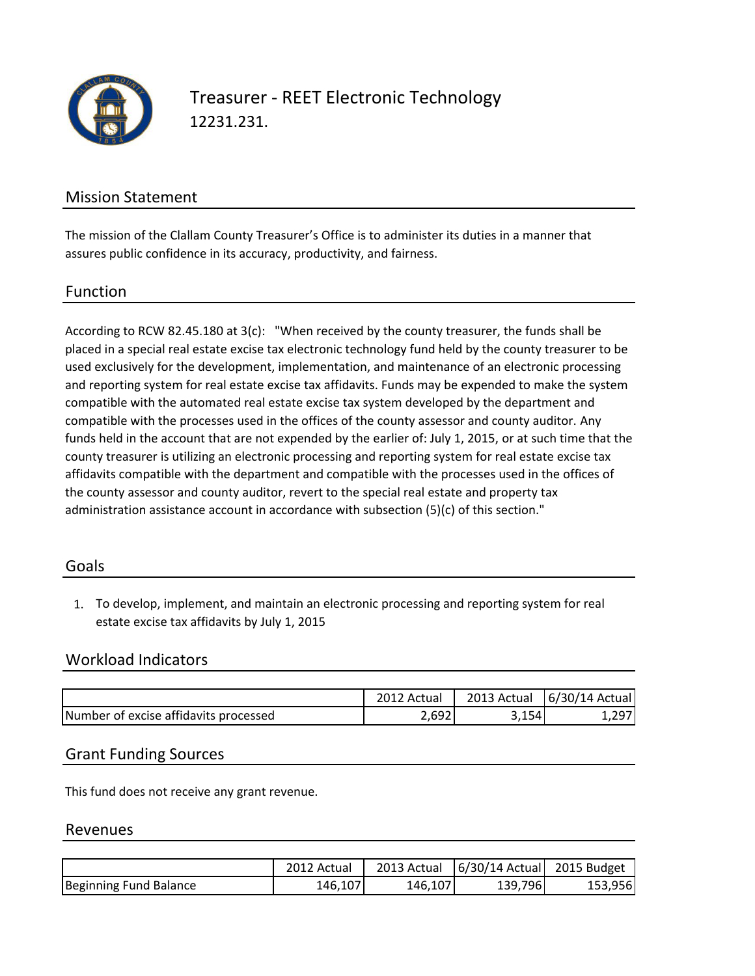

Treasurer - REET Electronic Technology 12231.231.

# Mission Statement

The mission of the Clallam County Treasurer's Office is to administer its duties in a manner that assures public confidence in its accuracy, productivity, and fairness.

#### Function

According to RCW 82.45.180 at 3(c): "When received by the county treasurer, the funds shall be placed in a special real estate excise tax electronic technology fund held by the county treasurer to be used exclusively for the development, implementation, and maintenance of an electronic processing and reporting system for real estate excise tax affidavits. Funds may be expended to make the system compatible with the automated real estate excise tax system developed by the department and compatible with the processes used in the offices of the county assessor and county auditor. Any funds held in the account that are not expended by the earlier of: July 1, 2015, or at such time that the county treasurer is utilizing an electronic processing and reporting system for real estate excise tax affidavits compatible with the department and compatible with the processes used in the offices of the county assessor and county auditor, revert to the special real estate and property tax administration assistance account in accordance with subsection (5)(c) of this section."

#### Goals

1. To develop, implement, and maintain an electronic processing and reporting system for real estate excise tax affidavits by July 1, 2015

## Workload Indicators

|                                       | 2012 Actual | 2013 Actual | $6/30/14$ Actual |
|---------------------------------------|-------------|-------------|------------------|
| Number of excise affidavits processed | 2.69        | 3,154       |                  |

### Grant Funding Sources

This fund does not receive any grant revenue.

#### Revenues

|                        | 2012 Actual | 2013 Actual | $6/30/14$ Actual 2015 Budget |          |
|------------------------|-------------|-------------|------------------------------|----------|
| Beginning Fund Balance | 146,107     | 146,107     | 139,796                      | 153.9561 |